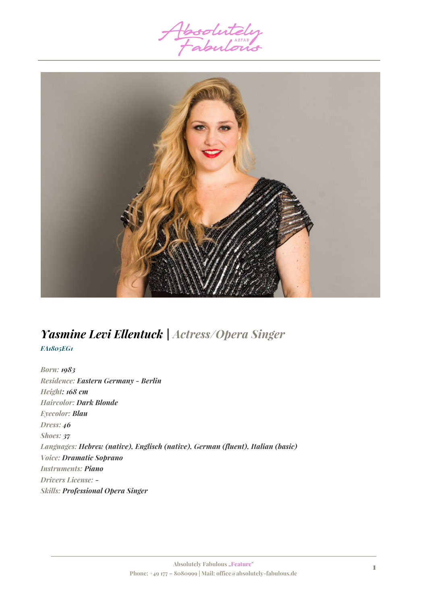



# *Yasmine Levi Ellentuck | Actress/Opera Singer*

*FA1805EG1*

*Born: 1983 Residence: Eastern Germany - Berlin Height: 168 cm Haircolor: Dark Blonde Eyecolor: Blau Dress: 46 Shoes: 37 Languages: Hebrew (native), Englisch (native), German (fluent), Italian (basic) Voice: Dramatic Soprano Instruments: Piano Drivers License: - Skills: Professional Opera Singer*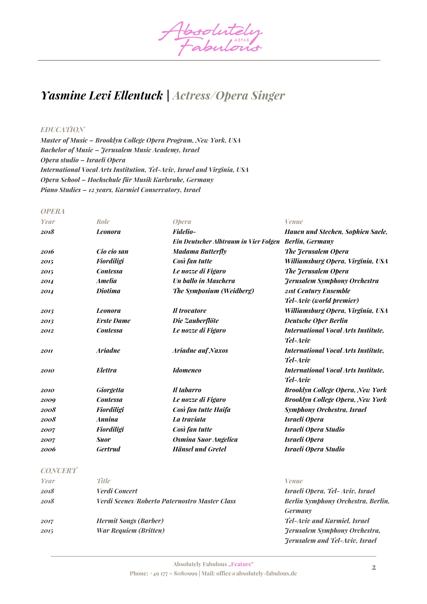

# *Yasmine Levi Ellentuck | Actress/Opera Singer*

# *EDUCATION*

*Master of Music – Brooklyn College Opera Program, New York, USA Bachelor of Music – Jerusalem Music Academy, Israel Opera studio – Israeli Opera International Vocal Arts Institution, Tel-Aviv, Israel and Virginia, USA Opera School – Hochschule für Musik Karlsruhe, Germany Piano Studies – 12 years, Karmiel Conservatory, Israel*

#### *OPERA*

| Year | Role              | <b>Opera</b>                                          | <b>Venue</b>                               |
|------|-------------------|-------------------------------------------------------|--------------------------------------------|
| 2018 | <b>Leonora</b>    | <b>Fidelio-</b>                                       | <b>Hauen und Stechen, Sophien Saele,</b>   |
|      |                   | Ein Deutscher Albtraum in Vier Folgen Berlin, Germany |                                            |
| 2016 | Cio cio san       | <b>Madama Butterfly</b>                               | The Jerusalem Opera                        |
| 2015 | <b>Fiordiligi</b> | Così fan tutte                                        | Williamsburg Opera, Virginia, USA          |
| 2015 | <b>Contessa</b>   | Le nozze di Figaro                                    | The Jerusalem Opera                        |
| 2014 | <b>Amelia</b>     | Un ballo in Maschera                                  | <b>Ferusalem Symphony Orchestra</b>        |
| 2014 | <b>Diotima</b>    | The Symposium (Weidberg)                              | 21st Century Ensemble                      |
|      |                   |                                                       | Tel-Aviv (world premier)                   |
| 2013 | <b>Leonora</b>    | Il trovatore                                          | Williamsburg Opera, Virginia, USA          |
| 2013 | <b>Erste Dame</b> | Die Zauberflöte                                       | <b>Deutsche Oper Berlin</b>                |
| 2012 | <b>Contessa</b>   | Le nozze di Figaro                                    | <b>International Vocal Arts Institute,</b> |
|      |                   |                                                       | Tel-Aviv                                   |
| 2011 | <b>Ariadne</b>    | <b>Ariadne auf Naxos</b>                              | <b>International Vocal Arts Institute,</b> |
|      |                   |                                                       | Tel-Aviv                                   |
| 2010 | <b>Elettra</b>    | <b>Idomeneo</b>                                       | <b>International Vocal Arts Institute.</b> |
|      |                   |                                                       | Tel-Aviv                                   |
| 2010 | <b>Giorgetta</b>  | Il tabarro                                            | <b>Brooklyn College Opera, New York</b>    |
| 2009 | <b>Contessa</b>   | Le nozze di Figaro                                    | <b>Brooklyn College Opera, New York</b>    |
| 2008 | <b>Fiordiligi</b> | Così fan tutte Haifa                                  | <b>Symphony Orchestra, Israel</b>          |
| 2008 | <b>Annina</b>     | La traviata                                           | Israeli Opera                              |
| 2007 | <b>Fiordiligi</b> | Così fan tutte                                        | <b>Israeli Opera Studio</b>                |
| 2007 | <b>Suor</b>       | Osmina Suor Angelica                                  | Israeli Opera                              |
| 2006 | <b>Gertrud</b>    | <b>Hänsel und Gretel</b>                              | <b>Israeli Opera Studio</b>                |

# *CONCERT*

| Year | <b>Title</b>                                  | Venue                                 |
|------|-----------------------------------------------|---------------------------------------|
| 2018 | Verdi Concert                                 | Israeli Opera, Tel-Aviv, Israel       |
| 2018 | Verdi Scenes/Roberto Paternostro Master Class | Berlin Symphony Orchestra, Berlin,    |
|      |                                               | <b>Germany</b>                        |
| 2017 | <b>Hermit Songs (Barber)</b>                  | <b>Tel-Aviv and Karmiel, Israel</b>   |
| 2015 | <b>War Requiem (Britten)</b>                  | <b>Jerusalem Symphony Orchestra,</b>  |
|      |                                               | <b>Jerusalem and Tel-Aviv, Israel</b> |